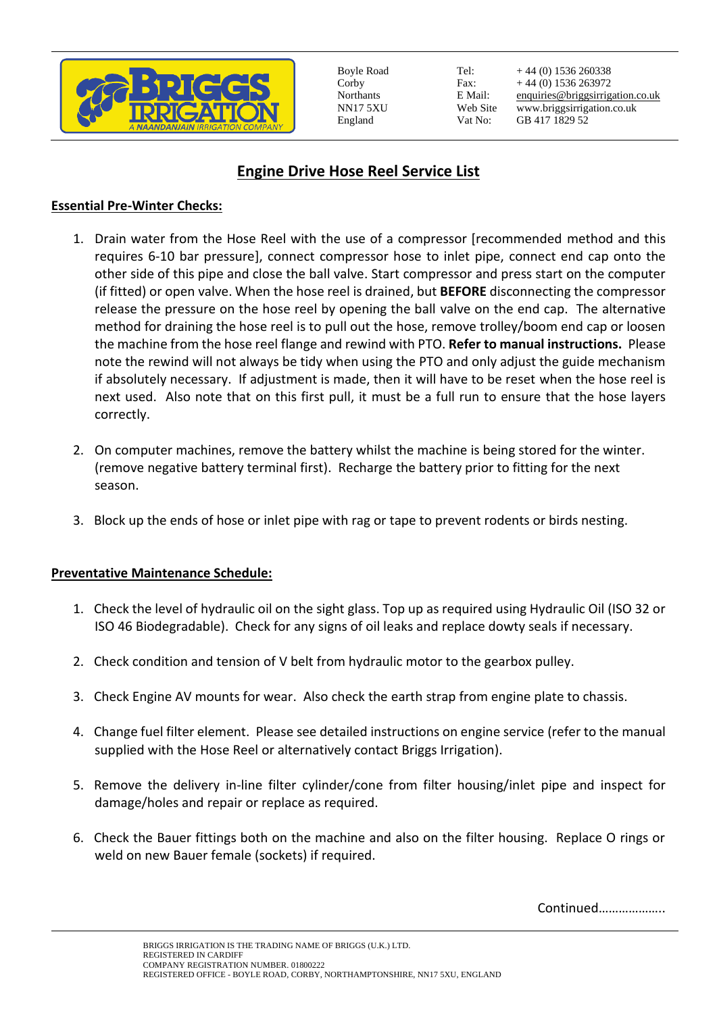

Boyle Road Corby Northants NN17 5XU England

Tel: Fax: E Mail: Web Site Vat No:

+ 44 (0) 1536 260338 + 44 (0) 1536 263972 [enquiries@briggsirrigation.co.uk](mailto:enquiries@briggsirrigation.co.uk) www.briggsirrigation.co.uk GB 417 1829 52

## **Engine Drive Hose Reel Service List**

## **Essential Pre-Winter Checks:**

- 1. Drain water from the Hose Reel with the use of a compressor [recommended method and this requires 6-10 bar pressure], connect compressor hose to inlet pipe, connect end cap onto the other side of this pipe and close the ball valve. Start compressor and press start on the computer (if fitted) or open valve. When the hose reel is drained, but **BEFORE** disconnecting the compressor release the pressure on the hose reel by opening the ball valve on the end cap. The alternative method for draining the hose reel is to pull out the hose, remove trolley/boom end cap or loosen the machine from the hose reel flange and rewind with PTO. **Refer to manual instructions.** Please note the rewind will not always be tidy when using the PTO and only adjust the guide mechanism if absolutely necessary. If adjustment is made, then it will have to be reset when the hose reel is next used. Also note that on this first pull, it must be a full run to ensure that the hose layers correctly.
- 2. On computer machines, remove the battery whilst the machine is being stored for the winter. (remove negative battery terminal first). Recharge the battery prior to fitting for the next season.
- 3. Block up the ends of hose or inlet pipe with rag or tape to prevent rodents or birds nesting.

## **Preventative Maintenance Schedule:**

- 1. Check the level of hydraulic oil on the sight glass. Top up as required using Hydraulic Oil (ISO 32 or ISO 46 Biodegradable). Check for any signs of oil leaks and replace dowty seals if necessary.
- 2. Check condition and tension of V belt from hydraulic motor to the gearbox pulley.
- 3. Check Engine AV mounts for wear. Also check the earth strap from engine plate to chassis.
- 4. Change fuel filter element. Please see detailed instructions on engine service (refer to the manual supplied with the Hose Reel or alternatively contact Briggs Irrigation).
- 5. Remove the delivery in-line filter cylinder/cone from filter housing/inlet pipe and inspect for damage/holes and repair or replace as required.
- 6. Check the Bauer fittings both on the machine and also on the filter housing. Replace O rings or weld on new Bauer female (sockets) if required.

Continued………………..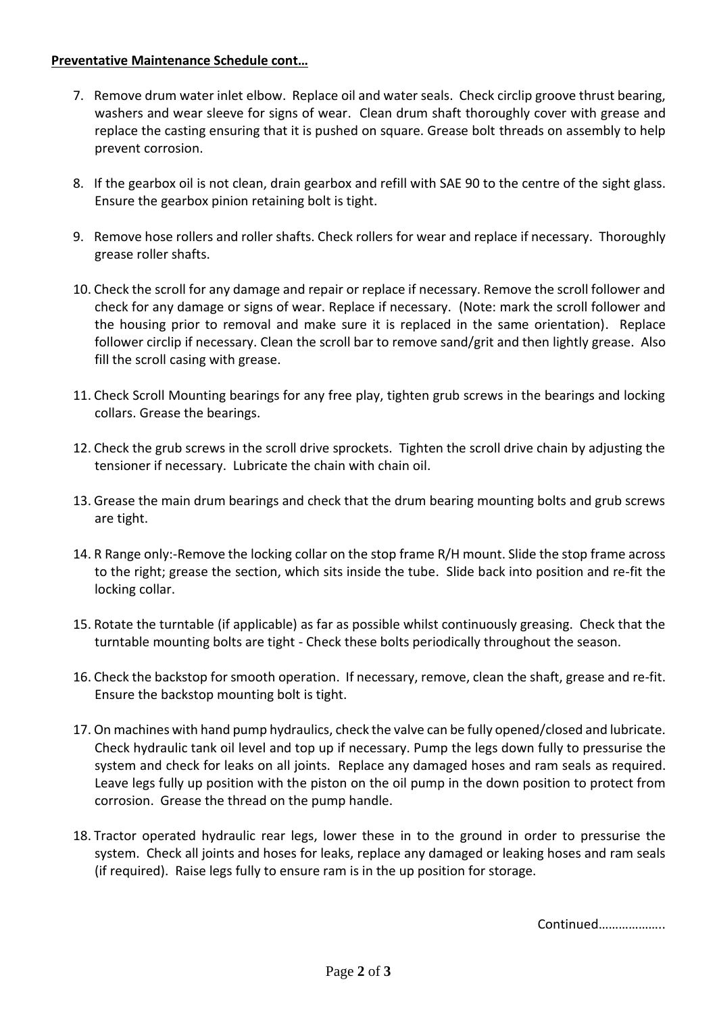## **Preventative Maintenance Schedule cont…**

- 7. Remove drum water inlet elbow. Replace oil and water seals. Check circlip groove thrust bearing, washers and wear sleeve for signs of wear. Clean drum shaft thoroughly cover with grease and replace the casting ensuring that it is pushed on square. Grease bolt threads on assembly to help prevent corrosion.
- 8. If the gearbox oil is not clean, drain gearbox and refill with SAE 90 to the centre of the sight glass. Ensure the gearbox pinion retaining bolt is tight.
- 9. Remove hose rollers and roller shafts. Check rollers for wear and replace if necessary. Thoroughly grease roller shafts.
- 10. Check the scroll for any damage and repair or replace if necessary. Remove the scroll follower and check for any damage or signs of wear. Replace if necessary. (Note: mark the scroll follower and the housing prior to removal and make sure it is replaced in the same orientation). Replace follower circlip if necessary. Clean the scroll bar to remove sand/grit and then lightly grease. Also fill the scroll casing with grease.
- 11. Check Scroll Mounting bearings for any free play, tighten grub screws in the bearings and locking collars. Grease the bearings.
- 12. Check the grub screws in the scroll drive sprockets. Tighten the scroll drive chain by adjusting the tensioner if necessary. Lubricate the chain with chain oil.
- 13. Grease the main drum bearings and check that the drum bearing mounting bolts and grub screws are tight.
- 14. R Range only:-Remove the locking collar on the stop frame R/H mount. Slide the stop frame across to the right; grease the section, which sits inside the tube. Slide back into position and re-fit the locking collar.
- 15. Rotate the turntable (if applicable) as far as possible whilst continuously greasing. Check that the turntable mounting bolts are tight - Check these bolts periodically throughout the season.
- 16. Check the backstop for smooth operation. If necessary, remove, clean the shaft, grease and re-fit. Ensure the backstop mounting bolt is tight.
- 17. On machines with hand pump hydraulics, check the valve can be fully opened/closed and lubricate. Check hydraulic tank oil level and top up if necessary. Pump the legs down fully to pressurise the system and check for leaks on all joints. Replace any damaged hoses and ram seals as required. Leave legs fully up position with the piston on the oil pump in the down position to protect from corrosion. Grease the thread on the pump handle.
- 18. Tractor operated hydraulic rear legs, lower these in to the ground in order to pressurise the system. Check all joints and hoses for leaks, replace any damaged or leaking hoses and ram seals (if required). Raise legs fully to ensure ram is in the up position for storage.

Continued………………..